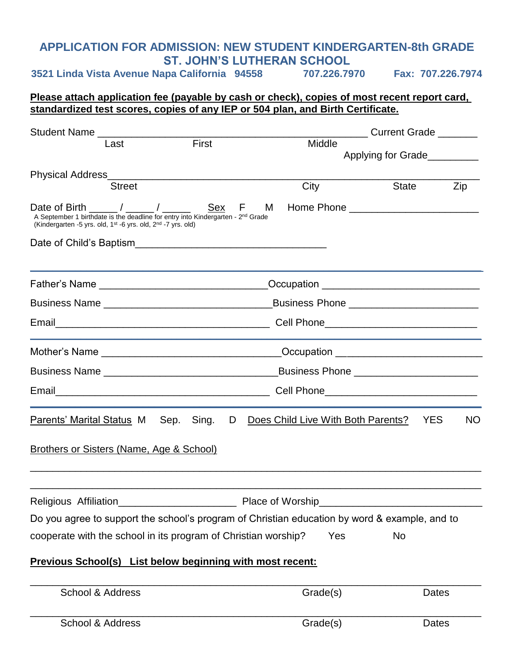## **APPLICATION FOR ADMISSION: NEW STUDENT KINDERGARTEN-8th GRADE ST. JOHN'S LUTHERAN SCHOOL**

**3521 Linda Vista Avenue Napa California 94558 707.226.7970 Fax: 707.226.7974**

### **Please attach application fee (payable by cash or check), copies of most recent report card, standardized test scores, copies of any IEP or 504 plan, and Birth Certificate.**

| Student Name                                                                                                                                                                                                                 |                                               |                                             | <b>Current Grade</b> |           |  |
|------------------------------------------------------------------------------------------------------------------------------------------------------------------------------------------------------------------------------|-----------------------------------------------|---------------------------------------------|----------------------|-----------|--|
| Last                                                                                                                                                                                                                         | First                                         | Middle                                      | Applying for Grade   |           |  |
|                                                                                                                                                                                                                              |                                               |                                             |                      |           |  |
| <b>Street</b>                                                                                                                                                                                                                |                                               | City                                        | <b>State</b>         | Zip       |  |
| Date of Birth ______ / _____ / ______<br>A September 1 birthdate is the deadline for entry into Kindergarten - 2 <sup>nd</sup> Grade<br>(Kindergarten -5 yrs. old, 1 <sup>st</sup> -6 yrs. old, 2 <sup>nd</sup> -7 yrs. old) | Sex F                                         | M                                           |                      |           |  |
| Date of Child's Baptism                                                                                                                                                                                                      |                                               |                                             |                      |           |  |
|                                                                                                                                                                                                                              |                                               |                                             |                      |           |  |
|                                                                                                                                                                                                                              |                                               |                                             |                      |           |  |
|                                                                                                                                                                                                                              |                                               |                                             |                      |           |  |
|                                                                                                                                                                                                                              |                                               | _Occupation _______________________________ |                      |           |  |
|                                                                                                                                                                                                                              | Business Phone ______________________________ |                                             |                      |           |  |
|                                                                                                                                                                                                                              |                                               |                                             |                      |           |  |
| Parents' Marital Status M Sep. Sing. D Does Child Live With Both Parents?                                                                                                                                                    |                                               |                                             | <b>YES</b>           | <b>NO</b> |  |
| <b>Brothers or Sisters (Name, Age &amp; School)</b>                                                                                                                                                                          |                                               |                                             |                      |           |  |
| Religious Affiliation                                                                                                                                                                                                        |                                               | Place of Worship                            |                      |           |  |
| Do you agree to support the school's program of Christian education by word & example, and to                                                                                                                                |                                               |                                             |                      |           |  |
| cooperate with the school in its program of Christian worship?                                                                                                                                                               |                                               | Yes                                         | <b>No</b>            |           |  |
| <b>Previous School(s)</b> List below beginning with most recent:                                                                                                                                                             |                                               |                                             |                      |           |  |
| <b>School &amp; Address</b>                                                                                                                                                                                                  |                                               | Grade(s)                                    | Dates                |           |  |
| School & Address                                                                                                                                                                                                             |                                               | Grade(s)                                    | Dates                |           |  |